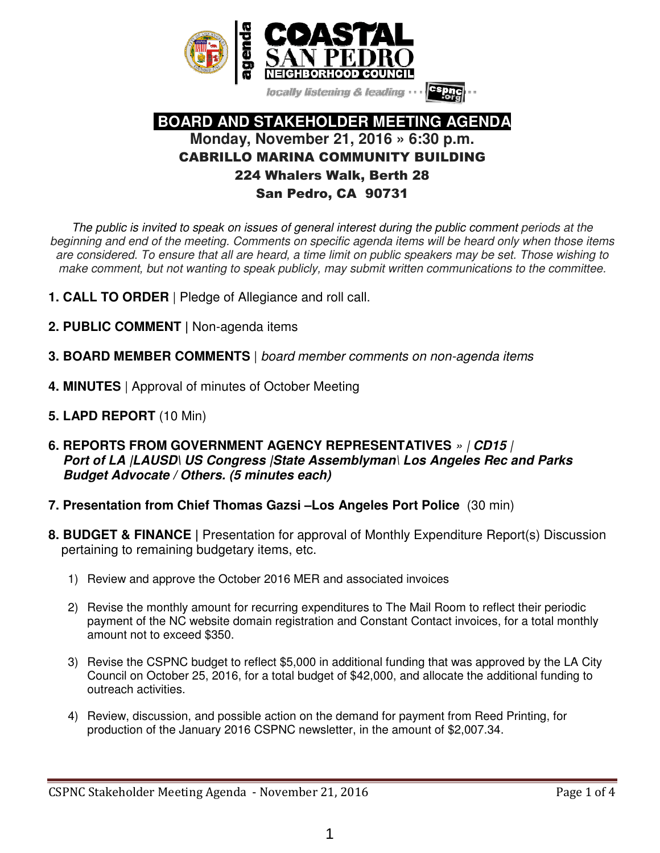

locally listening & leading

### **BOARD AND STAKEHOLDER MEETING AGENDA Monday, November 21, 2016 » 6:30 p.m.**  CABRILLO MARINA COMMUNITY BUILDING 224 Whalers Walk, Berth 28 San Pedro, CA 90731

The public is invited to speak on issues of general interest during the public comment periods at the beginning and end of the meeting. Comments on specific agenda items will be heard only when those items are considered. To ensure that all are heard, a time limit on public speakers may be set. Those wishing to make comment, but not wanting to speak publicly, may submit written communications to the committee.

- **1. CALL TO ORDER** | Pledge of Allegiance and roll call.
- **2. PUBLIC COMMENT |** Non-agenda items
- **3. BOARD MEMBER COMMENTS** | board member comments on non-agenda items
- **4. MINUTES** | Approval of minutes of October Meeting
- **5. LAPD REPORT** (10 Min)
- **6. REPORTS FROM GOVERNMENT AGENCY REPRESENTATIVES** » | **CD15** |  **Port of LA |LAUSD\ US Congress |State Assemblyman**\ **Los Angeles Rec and Parks Budget Advocate / Others. (5 minutes each)**
- **7. Presentation from Chief Thomas Gazsi –Los Angeles Port Police** (30 min)
- **8. BUDGET & FINANCE |** Presentation for approval of Monthly Expenditure Report(s) Discussion pertaining to remaining budgetary items, etc.
	- 1) Review and approve the October 2016 MER and associated invoices
	- 2) Revise the monthly amount for recurring expenditures to The Mail Room to reflect their periodic payment of the NC website domain registration and Constant Contact invoices, for a total monthly amount not to exceed \$350.
	- 3) Revise the CSPNC budget to reflect \$5,000 in additional funding that was approved by the LA City Council on October 25, 2016, for a total budget of \$42,000, and allocate the additional funding to outreach activities.
	- 4) Review, discussion, and possible action on the demand for payment from Reed Printing, for production of the January 2016 CSPNC newsletter, in the amount of \$2,007.34.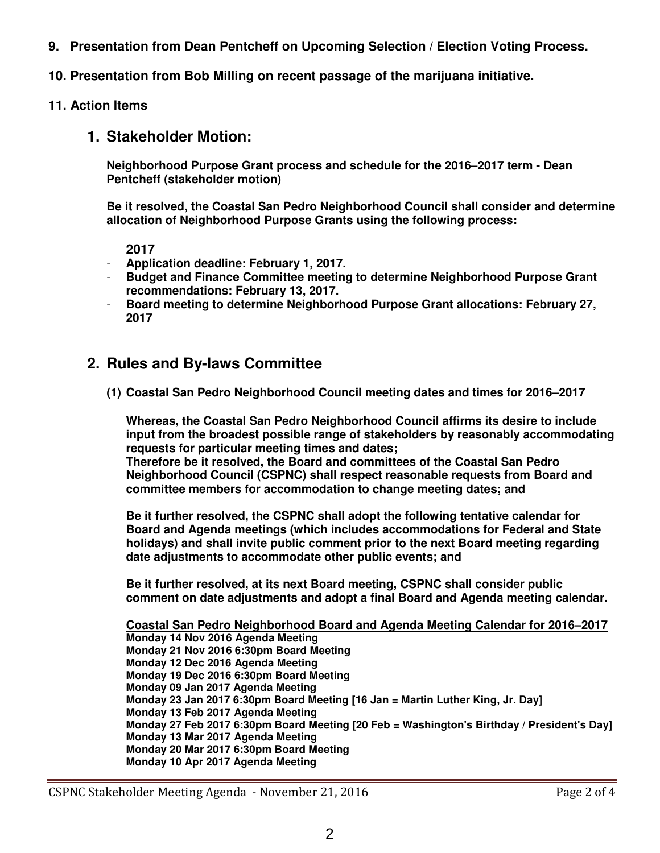- **9. Presentation from Dean Pentcheff on Upcoming Selection / Election Voting Process.**
- **10. Presentation from Bob Milling on recent passage of the marijuana initiative.**
- **11. Action Items**

### **1. Stakeholder Motion:**

**Neighborhood Purpose Grant process and schedule for the 2016–2017 term - Dean Pentcheff (stakeholder motion)** 

**Be it resolved, the Coastal San Pedro Neighborhood Council shall consider and determine allocation of Neighborhood Purpose Grants using the following process:** 

**2017** 

- **Application deadline: February 1, 2017.**
- **Budget and Finance Committee meeting to determine Neighborhood Purpose Grant recommendations: February 13, 2017.**
- **Board meeting to determine Neighborhood Purpose Grant allocations: February 27, 2017**

### **2. Rules and By-laws Committee**

**(1) Coastal San Pedro Neighborhood Council meeting dates and times for 2016–2017** 

**Whereas, the Coastal San Pedro Neighborhood Council affirms its desire to include input from the broadest possible range of stakeholders by reasonably accommodating requests for particular meeting times and dates;** 

**Therefore be it resolved, the Board and committees of the Coastal San Pedro Neighborhood Council (CSPNC) shall respect reasonable requests from Board and committee members for accommodation to change meeting dates; and** 

**Be it further resolved, the CSPNC shall adopt the following tentative calendar for Board and Agenda meetings (which includes accommodations for Federal and State holidays) and shall invite public comment prior to the next Board meeting regarding date adjustments to accommodate other public events; and** 

**Be it further resolved, at its next Board meeting, CSPNC shall consider public comment on date adjustments and adopt a final Board and Agenda meeting calendar.** 

**Coastal San Pedro Neighborhood Board and Agenda Meeting Calendar for 2016–2017 Monday 14 Nov 2016 Agenda Meeting Monday 21 Nov 2016 6:30pm Board Meeting Monday 12 Dec 2016 Agenda Meeting Monday 19 Dec 2016 6:30pm Board Meeting Monday 09 Jan 2017 Agenda Meeting Monday 23 Jan 2017 6:30pm Board Meeting [16 Jan = Martin Luther King, Jr. Day] Monday 13 Feb 2017 Agenda Meeting Monday 27 Feb 2017 6:30pm Board Meeting [20 Feb = Washington's Birthday / President's Day] Monday 13 Mar 2017 Agenda Meeting Monday 20 Mar 2017 6:30pm Board Meeting Monday 10 Apr 2017 Agenda Meeting**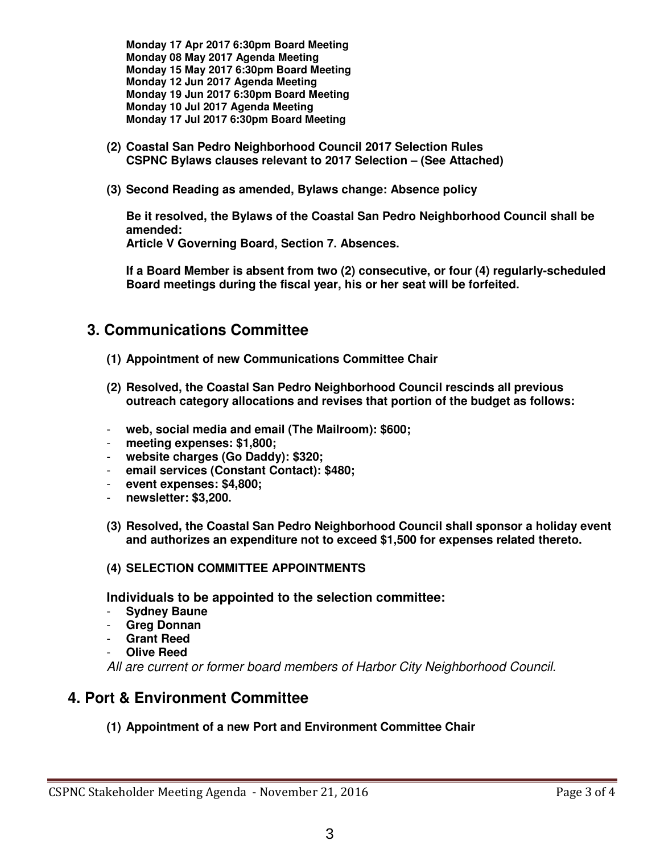**Monday 17 Apr 2017 6:30pm Board Meeting Monday 08 May 2017 Agenda Meeting Monday 15 May 2017 6:30pm Board Meeting Monday 12 Jun 2017 Agenda Meeting Monday 19 Jun 2017 6:30pm Board Meeting Monday 10 Jul 2017 Agenda Meeting Monday 17 Jul 2017 6:30pm Board Meeting** 

- **(2) Coastal San Pedro Neighborhood Council 2017 Selection Rules CSPNC Bylaws clauses relevant to 2017 Selection – (See Attached)**
- **(3) Second Reading as amended, Bylaws change: Absence policy**

**Be it resolved, the Bylaws of the Coastal San Pedro Neighborhood Council shall be amended: Article V Governing Board, Section 7. Absences.** 

**If a Board Member is absent from two (2) consecutive, or four (4) regularly-scheduled Board meetings during the fiscal year, his or her seat will be forfeited.** 

### **3. Communications Committee**

- **(1) Appointment of new Communications Committee Chair**
- **(2) Resolved, the Coastal San Pedro Neighborhood Council rescinds all previous outreach category allocations and revises that portion of the budget as follows:**
- **web, social media and email (The Mailroom): \$600;**
- meeting expenses: \$1,800;
- **website charges (Go Daddy): \$320;**
- **email services (Constant Contact): \$480;**
- **event expenses: \$4,800;**
- **newsletter: \$3,200.**
- **(3) Resolved, the Coastal San Pedro Neighborhood Council shall sponsor a holiday event and authorizes an expenditure not to exceed \$1,500 for expenses related thereto.**

#### **(4) SELECTION COMMITTEE APPOINTMENTS**

**Individuals to be appointed to the selection committee:** 

- **Sydney Baune**
- **Greg Donnan**
- **Grant Reed**
- **Olive Reed**

All are current or former board members of Harbor City Neighborhood Council.

### **4. Port & Environment Committee**

**(1) Appointment of a new Port and Environment Committee Chair**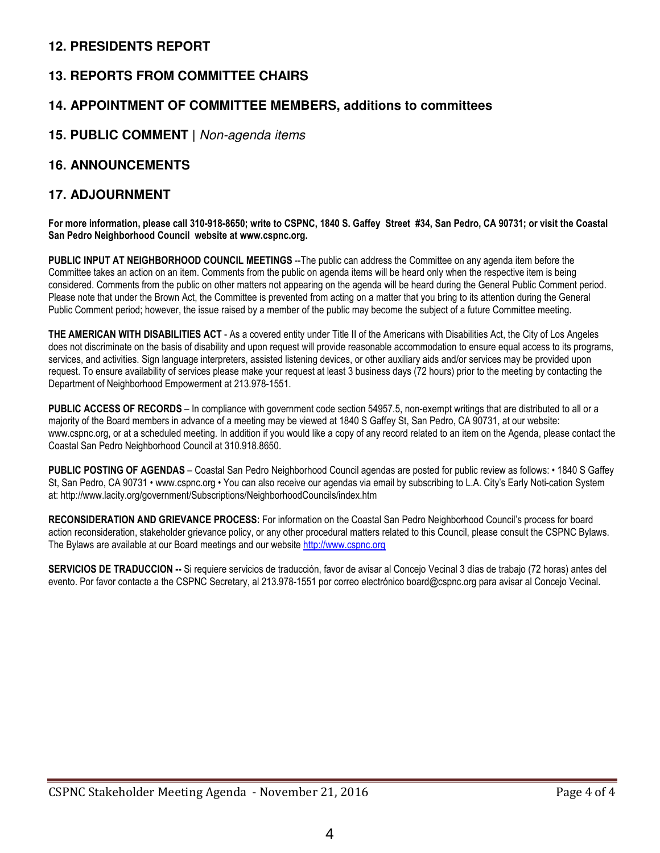### **12. PRESIDENTS REPORT**

### **13. REPORTS FROM COMMITTEE CHAIRS**

### **14. APPOINTMENT OF COMMITTEE MEMBERS, additions to committees**

### **15. PUBLIC COMMENT |** Non-agenda items

#### **16. ANNOUNCEMENTS**

#### **17. ADJOURNMENT**

**For more information, please call 310-918-8650; write to CSPNC, 1840 S. Gaffey Street #34, San Pedro, CA 90731; or visit the Coastal San Pedro Neighborhood Council website at www.cspnc.org.** 

**PUBLIC INPUT AT NEIGHBORHOOD COUNCIL MEETINGS** --The public can address the Committee on any agenda item before the Committee takes an action on an item. Comments from the public on agenda items will be heard only when the respective item is being considered. Comments from the public on other matters not appearing on the agenda will be heard during the General Public Comment period. Please note that under the Brown Act, the Committee is prevented from acting on a matter that you bring to its attention during the General Public Comment period; however, the issue raised by a member of the public may become the subject of a future Committee meeting.

**THE AMERICAN WITH DISABILITIES ACT** - As a covered entity under Title II of the Americans with Disabilities Act, the City of Los Angeles does not discriminate on the basis of disability and upon request will provide reasonable accommodation to ensure equal access to its programs, services, and activities. Sign language interpreters, assisted listening devices, or other auxiliary aids and/or services may be provided upon request. To ensure availability of services please make your request at least 3 business days (72 hours) prior to the meeting by contacting the Department of Neighborhood Empowerment at 213.978-1551.

**PUBLIC ACCESS OF RECORDS** – In compliance with government code section 54957.5, non-exempt writings that are distributed to all or a majority of the Board members in advance of a meeting may be viewed at 1840 S Gaffey St, San Pedro, CA 90731, at our website: www.cspnc.org, or at a scheduled meeting. In addition if you would like a copy of any record related to an item on the Agenda, please contact the Coastal San Pedro Neighborhood Council at 310.918.8650.

**PUBLIC POSTING OF AGENDAS** – Coastal San Pedro Neighborhood Council agendas are posted for public review as follows: • 1840 S Gaffey St, San Pedro, CA 90731 • www.cspnc.org • You can also receive our agendas via email by subscribing to L.A. City's Early Noti-cation System at: http://www.lacity.org/government/Subscriptions/NeighborhoodCouncils/index.htm

**RECONSIDERATION AND GRIEVANCE PROCESS:** For information on the Coastal San Pedro Neighborhood Council's process for board action reconsideration, stakeholder grievance policy, or any other procedural matters related to this Council, please consult the CSPNC Bylaws. The Bylaws are available at our Board meetings and our website http://www.cspnc.org

**SERVICIOS DE TRADUCCION --** Si requiere servicios de traducción, favor de avisar al Concejo Vecinal 3 días de trabajo (72 horas) antes del evento. Por favor contacte a the CSPNC Secretary, al 213.978-1551 por correo electrónico board@cspnc.org para avisar al Concejo Vecinal.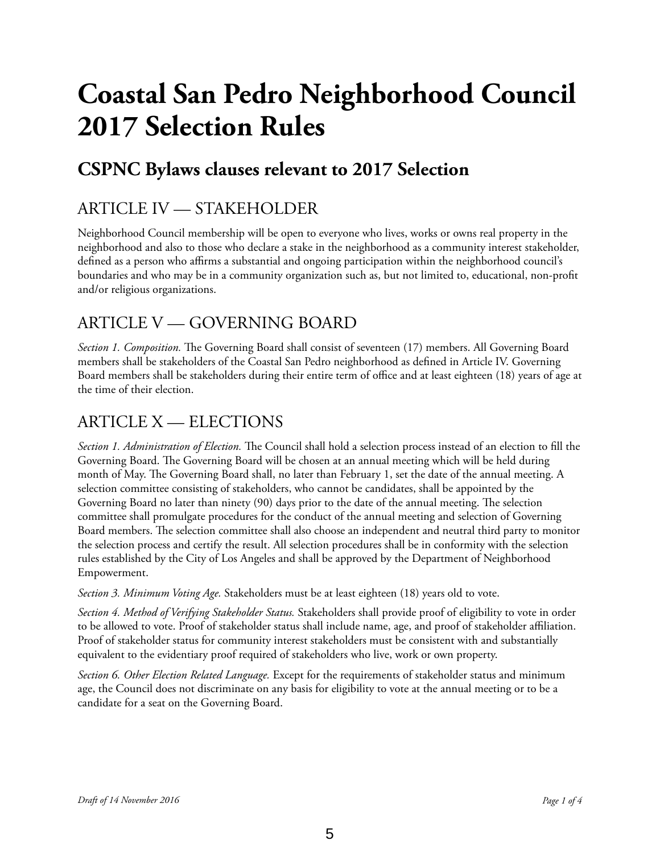# **Coastal San Pedro Neighborhood Council 2017 Selection Rules**

# **CSPNC Bylaws clauses relevant to 2017 Selection**

### ARTICLE IV — STAKEHOLDER

Neighborhood Council membership will be open to everyone who lives, works or owns real property in the neighborhood and also to those who declare a stake in the neighborhood as a community interest stakeholder, defned as a person who affirms a substantial and ongoing participation within the neighborhood council's boundaries and who may be in a community organization such as, but not limited to, educational, non-proft and/or religious organizations.

### ARTICLE V — GOVERNING BOARD

*Section 1. Composition.* The Governing Board shall consist of seventeen (17) members. All Governing Board members shall be stakeholders of the Coastal San Pedro neighborhood as defned in Article IV. Governing Board members shall be stakeholders during their entire term of office and at least eighteen (18) years of age at the time of their election.

### ARTICLE X — ELECTIONS

*Section 1. Administration of Election*. The Council shall hold a selection process instead of an election to fill the Governing Board. The Governing Board will be chosen at an annual meeting which will be held during month of May. The Governing Board shall, no later than February 1, set the date of the annual meeting. A selection committee consisting of stakeholders, who cannot be candidates, shall be appointed by the Governing Board no later than ninety (90) days prior to the date of the annual meeting. The selection committee shall promulgate procedures for the conduct of the annual meeting and selection of Governing Board members. The selection committee shall also choose an independent and neutral third party to monitor the selection process and certify the result. All selection procedures shall be in conformity with the selection rules established by the City of Los Angeles and shall be approved by the Department of Neighborhood Empowerment.

*Section 3. Minimum Voting Age.* Stakeholders must be at least eighteen (18) years old to vote.

*Section 4. Method of Verifying Stakeholder Status.* Stakeholders shall provide proof of eligibility to vote in order to be allowed to vote. Proof of stakeholder status shall include name, age, and proof of stakeholder affiliation. Proof of stakeholder status for community interest stakeholders must be consistent with and substantially equivalent to the evidentiary proof required of stakeholders who live, work or own property.

*Section 6. Other Election Related Language.* Except for the requirements of stakeholder status and minimum age, the Council does not discriminate on any basis for eligibility to vote at the annual meeting or to be a candidate for a seat on the Governing Board.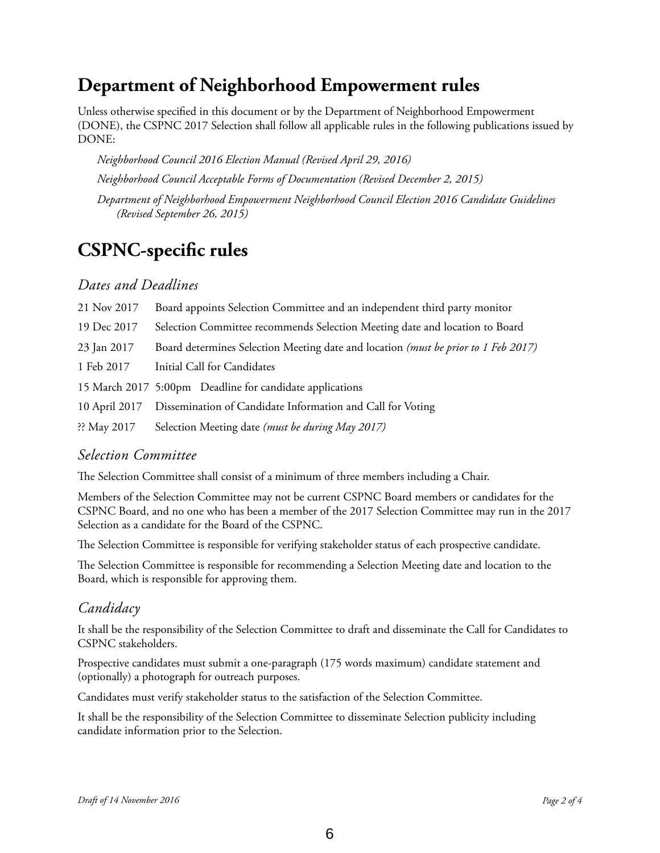## **Department of Neighborhood Empowerment rules**

Unless otherwise specifed in this document or by the Department of Neighborhood Empowerment (DONE), the CSPNC 2017 Selection shall follow all applicable rules in the following publications issued by DONE:

*Neighborhood Council 2016 Election Manual (Revised April 29, 2016)* 

*Neighborhood Council Acceptable Forms of Documentation (Revised December 2, 2015)* 

*Department of Neighborhood Empowerment Neighborhood Council Election 2016 Candidate Guidelines (Revised September 26, 2015)* 

# **CSPNC-specifc rules**

### *Dates and Deadlines*

| 21 Nov 2017           | Board appoints Selection Committee and an independent third party monitor          |
|-----------------------|------------------------------------------------------------------------------------|
| 19 Dec 2017           | Selection Committee recommends Selection Meeting date and location to Board        |
| 23 Jan 2017           | Board determines Selection Meeting date and location (must be prior to 1 Feb 2017) |
| 1 Feb 2017            | Initial Call for Candidates                                                        |
|                       | 15 March 2017 5:00pm Deadline for candidate applications                           |
| 10 April 2017         | Dissemination of Candidate Information and Call for Voting                         |
| $\therefore$ May 2017 | Selection Meeting date (must be during May 2017)                                   |

### *Selection Committee*

The Selection Committee shall consist of a minimum of three members including a Chair.

Members of the Selection Committee may not be current CSPNC Board members or candidates for the CSPNC Board, and no one who has been a member of the 2017 Selection Committee may run in the 2017 Selection as a candidate for the Board of the CSPNC.

The Selection Committee is responsible for verifying stakeholder status of each prospective candidate.

The Selection Committee is responsible for recommending a Selection Meeting date and location to the Board, which is responsible for approving them.

### *Candidacy*

It shall be the responsibility of the Selection Committee to draft and disseminate the Call for Candidates to CSPNC stakeholders.

Prospective candidates must submit a one-paragraph (175 words maximum) candidate statement and (optionally) a photograph for outreach purposes.

Candidates must verify stakeholder status to the satisfaction of the Selection Committee.

It shall be the responsibility of the Selection Committee to disseminate Selection publicity including candidate information prior to the Selection.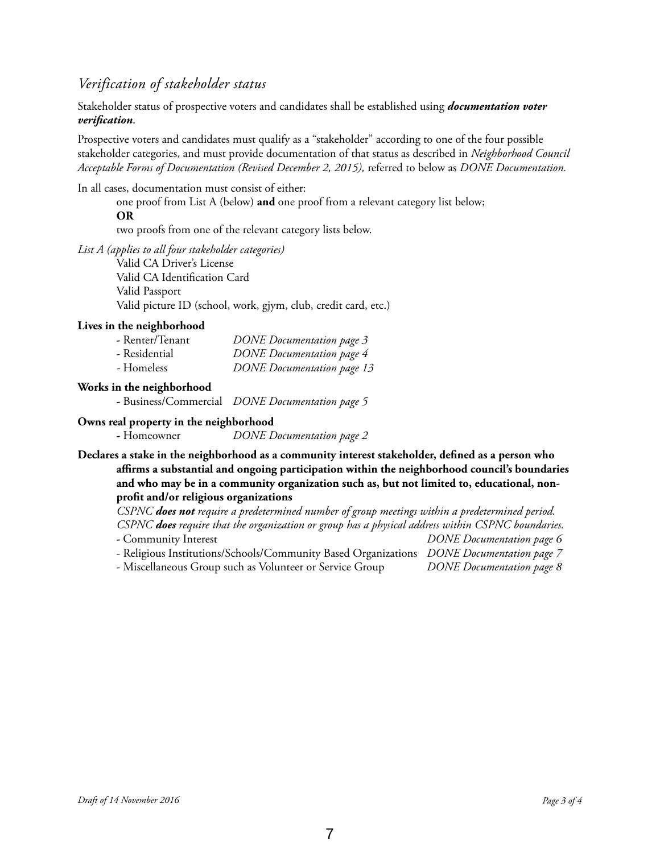### *Verification of stakeholder status*

Stakeholder status of prospective voters and candidates shall be established using *documentation voter verifcation*.

Prospective voters and candidates must qualify as a "stakeholder" according to one of the four possible stakeholder categories, and must provide documentation of that status as described in *Neighborhood Council Acceptable Forms of Documentation (Revised December 2, 2015),* referred to below as *DONE Documentation.* 

In all cases, documentation must consist of either:

one proof from List A (below) **and** one proof from a relevant category list below;

#### **OR**

two proofs from one of the relevant category lists below.

*List A (applies to all four stakeholder categories)*

Valid CA Driver's License Valid CA Identifcation Card Valid Passport Valid picture ID (school, work, gjym, club, credit card, etc.)

#### **Lives in the neighborhood**

| - Renter/Tenant | <b>DONE</b> Documentation page 3  |
|-----------------|-----------------------------------|
| - Residential   | <b>DONE</b> Documentation page 4  |
| - Homeless      | <b>DONE</b> Documentation page 13 |

#### **Works in the neighborhood**

**-** Business/Commercial *DONE Documentation page 5*

#### **Owns real property in the neighborhood**

**-** Homeowner *DONE Documentation page 2*

**Declares a stake in the neighborhood as a community interest stakeholder, defned as a person who affirms a substantial and ongoing participation within the neighborhood council's boundaries and who may be in a community organization such as, but not limited to, educational, nonproft and/or religious organizations**

*CSPNC does not require a predetermined number of group meetings within a predetermined period. CSPNC does require that the organization or group has a physical address within CSPNC boundaries.*

- Community Interest *DONE Documentation page 6*
- Religious Institutions/Schools/Community Based Organizations *DONE Documentation page 7*

- Miscellaneous Group such as Volunteer or Service Group *DONE Documentation page 8*